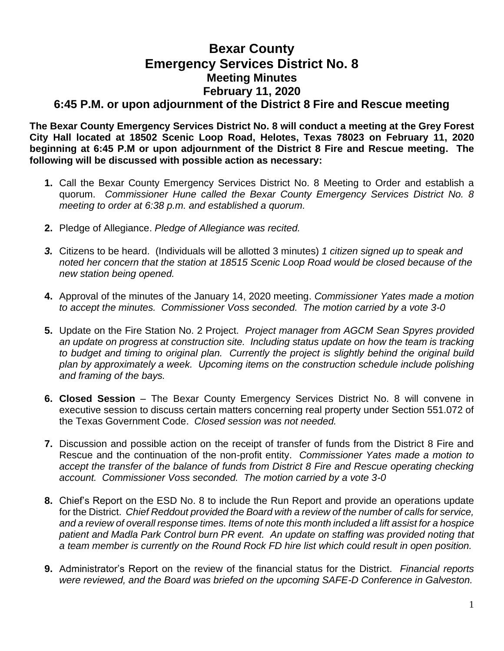## **Bexar County Emergency Services District No. 8 Meeting Minutes February 11, 2020 6:45 P.M. or upon adjournment of the District 8 Fire and Rescue meeting**

**The Bexar County Emergency Services District No. 8 will conduct a meeting at the Grey Forest City Hall located at 18502 Scenic Loop Road, Helotes, Texas 78023 on February 11, 2020**

**beginning at 6:45 P.M or upon adjournment of the District 8 Fire and Rescue meeting. The following will be discussed with possible action as necessary:**

- **1.** Call the Bexar County Emergency Services District No. 8 Meeting to Order and establish a quorum. *Commissioner Hune called the Bexar County Emergency Services District No. 8 meeting to order at 6:38 p.m. and established a quorum.*
- **2.** Pledge of Allegiance. *Pledge of Allegiance was recited.*
- *3.* Citizens to be heard. (Individuals will be allotted 3 minutes) *1 citizen signed up to speak and noted her concern that the station at 18515 Scenic Loop Road would be closed because of the new station being opened.*
- **4.** Approval of the minutes of the January 14, 2020 meeting. *Commissioner Yates made a motion to accept the minutes. Commissioner Voss seconded. The motion carried by a vote 3-0*
- **5.** Update on the Fire Station No. 2 Project. *Project manager from AGCM Sean Spyres provided an update on progress at construction site. Including status update on how the team is tracking to budget and timing to original plan. Currently the project is slightly behind the original build plan by approximately a week. Upcoming items on the construction schedule include polishing and framing of the bays.*
- **6. Closed Session** The Bexar County Emergency Services District No. 8 will convene in executive session to discuss certain matters concerning real property under Section 551.072 of the Texas Government Code. *Closed session was not needed.*
- **7.** Discussion and possible action on the receipt of transfer of funds from the District 8 Fire and Rescue and the continuation of the non-profit entity. *Commissioner Yates made a motion to accept the transfer of the balance of funds from District 8 Fire and Rescue operating checking account. Commissioner Voss seconded. The motion carried by a vote 3-0*
- **8.** Chief's Report on the ESD No. 8 to include the Run Report and provide an operations update for the District. *Chief Reddout provided the Board with a review of the number of calls for service, and a review of overall response times. Items of note this month included a lift assist for a hospice patient and Madla Park Control burn PR event. An update on staffing was provided noting that a team member is currently on the Round Rock FD hire list which could result in open position.*
- **9.** Administrator's Report on the review of the financial status for the District. *Financial reports were reviewed, and the Board was briefed on the upcoming SAFE-D Conference in Galveston.*